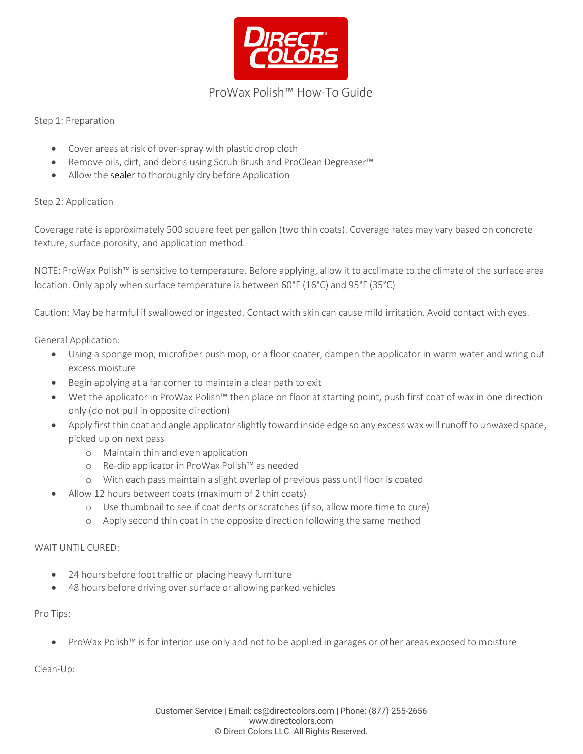

# ProWax Polish™ How-To Guide

Step 1: Preparation

- Cover areas at risk of over-spray with plastic drop cloth
- Remove oils, dirt, and debris using Scrub Brush and ProClean Degreaser™
- Allow the sealer to thoroughly dry before Application

## Step 2: Application

Coverage rate is approximately 500 square feet per gallon (two thin coats). Coverage rates may vary based on concrete texture, surface porosity, and application method.

NOTE: ProWax Polish™ is sensitive to temperature. Before applying, allow it to acclimate to the climate of the surface area location. Only apply when surface temperature is between 60°F (16°C) and 95°F (35°C)

Caution: May be harmful if swallowed or ingested. Contact with skin can cause mild irritation. Avoid contact with eyes.

## General Application:

- Using a sponge mop, microfiber push mop, or a floor coater, dampen the applicator in warm water and wring out excess moisture
- Begin applying at a far corner to maintain a clear path to exit
- Wet the applicator in ProWax Polish™ then place on floor at starting point, push first coat of wax in one direction only (do not pull in opposite direction)
- Apply first thin coat and angle applicator slightly toward inside edge so any excess wax will runoff to unwaxed space, picked up on next pass
	- o Maintain thin and even application
	- o Re-dip applicator in ProWax Polish™ as needed
	- o With each pass maintain a slight overlap of previous pass until floor is coated
- Allow 12 hours between coats (maximum of 2 thin coats)
	- o Use thumbnail to see if coat dents or scratches (if so, allow more time to cure)
	- o Apply second thin coat in the opposite direction following the same method

#### WAIT UNTIL CURED:

- 24 hours before foot traffic or placing heavy furniture
- 48 hours before driving over surface or allowing parked vehicles

#### Pro Tips:

• ProWax Polish™ is for interior use only and not to be applied in garages or other areas exposed to moisture

Clean-Up: